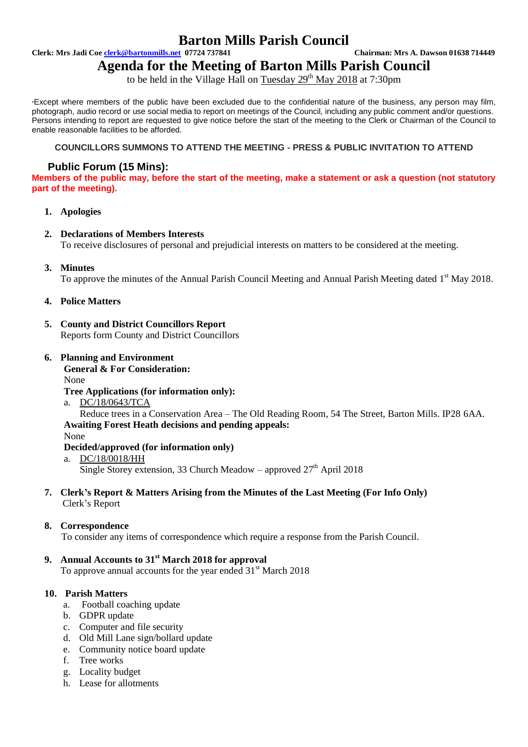# **Barton Mills Parish Council**

**Clerk: Mrs Jadi Coe clerk@bartonmills.net 07724 737841 Chairman: Mrs A. Dawson 01638 714449**

**Agenda for the Meeting of Barton Mills Parish Council**

to be held in the Village Hall on Tuesday  $29<sup>th</sup>$  May 2018 at 7:30pm

\*Except where members of the public have been excluded due to the confidential nature of the business, any person may film, photograph, audio record or use social media to report on meetings of the Council, including any public comment and/or questions. Persons intending to report are requested to give notice before the start of the meeting to the Clerk or Chairman of the Council to enable reasonable facilities to be afforded.

#### **COUNCILLORS SUMMONS TO ATTEND THE MEETING - PRESS & PUBLIC INVITATION TO ATTEND**

# **Public Forum (15 Mins):**

**Members of the public may, before the start of the meeting, make a statement or ask a question (not statutory part of the meeting).**

# **1. Apologies**

# **2. Declarations of Members Interests**

To receive disclosures of personal and prejudicial interests on matters to be considered at the meeting.

# **3. Minutes**

To approve the minutes of the Annual Parish Council Meeting and Annual Parish Meeting dated  $1<sup>st</sup>$  May 2018.

# **4. Police Matters**

- **5. County and District Councillors Report** Reports form County and District Councillors
- **6. Planning and Environment General & For Consideration:**

None

#### **Tree Applications (for information only):**

a. DC/18/0643/TCA

Reduce trees in a Conservation Area – The Old Reading Room, 54 The Street, Barton Mills. IP28 6AA. **Awaiting Forest Heath decisions and pending appeals:**

#### None

#### **Decided/approved (for information only)**

a. DC/18/0018/HH Single Storey extension, 33 Church Meadow – approved  $27<sup>th</sup>$  April 2018

# **7. Clerk's Report & Matters Arising from the Minutes of the Last Meeting (For Info Only)** Clerk's Report

#### **8. Correspondence**

To consider any items of correspondence which require a response from the Parish Council.

# **9. Annual Accounts to 31st March 2018 for approval**

To approve annual accounts for the year ended 31<sup>st</sup> March 2018

# **10. Parish Matters**

- a. Football coaching update
- b. GDPR update
- c. Computer and file security
- d. Old Mill Lane sign/bollard update
- e. Community notice board update
- f. Tree works
- g. Locality budget
- h. Lease for allotments